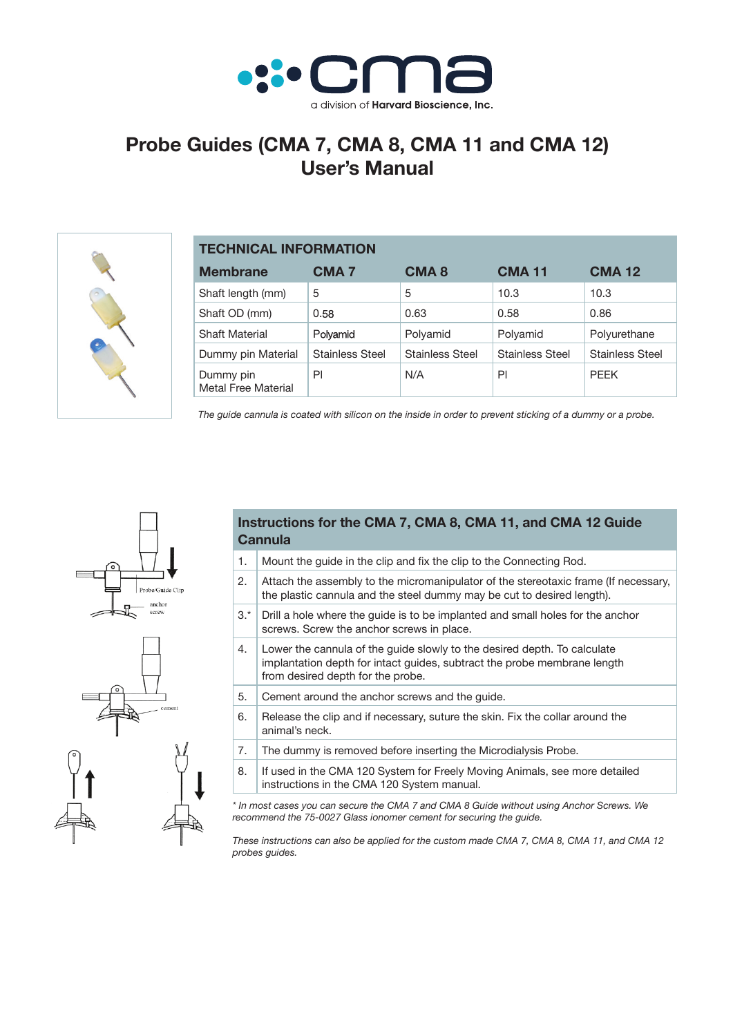

## **Probe Guides (CMA 7, CMA 8, CMA 11 and CMA 12) User's Manual**



| <b>TECHNICAL INFORMATION</b>     |                        |                        |                        |                        |
|----------------------------------|------------------------|------------------------|------------------------|------------------------|
| <b>Membrane</b>                  | <b>CMA 7</b>           | CMA <sub>8</sub>       | <b>CMA 11</b>          | <b>CMA 12</b>          |
| Shaft length (mm)                | 5                      | 5                      | 10.3                   | 10.3                   |
| Shaft OD (mm)                    | 0.58                   | 0.63                   | 0.58                   | 0.86                   |
| <b>Shaft Material</b>            | Polyamid               | Polyamid               | Polyamid               | Polyurethane           |
| Dummy pin Material               | <b>Stainless Steel</b> | <b>Stainless Steel</b> | <b>Stainless Steel</b> | <b>Stainless Steel</b> |
| Dummy pin<br>Metal Free Material | PI                     | N/A                    | PI                     | <b>PEEK</b>            |

*The guide cannula is coated with silicon on the inside in order to prevent sticking of a dummy or a probe.*

## **Instructions for the CMA 7, CMA 8, CMA 11, and CMA 12 Guide Cannula**

- 1. Mount the guide in the clip and fix the clip to the Connecting Rod. 2. Attach the assembly to the micromanipulator of the stereotaxic frame (If necessary, the plastic cannula and the steel dummy may be cut to desired length).
- $3.*$  Drill a hole where the quide is to be implanted and small holes for the anchor screws. Screw the anchor screws in place.
- 4. Lower the cannula of the guide slowly to the desired depth. To calculate implantation depth for intact guides, subtract the probe membrane length from desired depth for the probe.
- 5. Cement around the anchor screws and the quide.
- 6. Release the clip and if necessary, suture the skin. Fix the collar around the animal's neck.
- 7. The dummy is removed before inserting the Microdialysis Probe. 8. If used in the CMA 120 System for Freely Moving Animals, see more detailed instructions in the CMA 120 System manual.

*\* In most cases you can secure the CMA 7 and CMA 8 Guide without using Anchor Screws. We recommend the 75-0027 Glass ionomer cement for securing the guide.*

*These instructions can also be applied for the custom made CMA 7, CMA 8, CMA 11, and CMA 12 probes guides.*